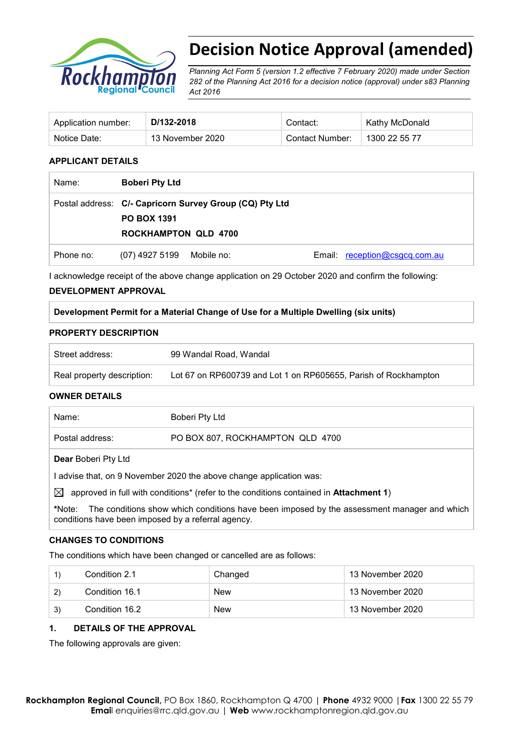

# **Decision Notice Approval (amended)**

*Planning Act Form 5 (version 1.2 effective 7 February 2020) made under Section 282 of the Planning Act 2016 for a decision notice (approval) under s83 Planning Act 2016* 

| Application number: | D/132-2018       | Contact:        | Kathy McDonald |
|---------------------|------------------|-----------------|----------------|
| Notice Date:        | 13 November 2020 | Contact Number: | 1300 22 55 77  |

#### **APPLICANT DETAILS**

| Name:     | <b>Boberi Pty Ltd</b>                                                                                        |            |                               |
|-----------|--------------------------------------------------------------------------------------------------------------|------------|-------------------------------|
|           | Postal address: C/- Capricorn Survey Group (CQ) Pty Ltd<br><b>PO BOX 1391</b><br><b>ROCKHAMPTON QLD 4700</b> |            |                               |
| Phone no: | (07) 4927 5199                                                                                               | Mobile no: | Email: reception@csgcq.com.au |

I acknowledge receipt of the above change application on 29 October 2020 and confirm the following:

#### **DEVELOPMENT APPROVAL**

#### **Development Permit for a Material Change of Use for a Multiple Dwelling (six units)**

#### **PROPERTY DESCRIPTION**

| Street address:            | 99 Wandal Road, Wandal                                          |
|----------------------------|-----------------------------------------------------------------|
| Real property description: | Lot 67 on RP600739 and Lot 1 on RP605655, Parish of Rockhampton |

#### **OWNER DETAILS**

| Name:                      | Boberi Pty Ltd                   |
|----------------------------|----------------------------------|
| Postal address:            | PO BOX 807, ROCKHAMPTON QLD 4700 |
| <b>Dear Boberi Pty Ltd</b> |                                  |

I advise that, on 9 November 2020 the above change application was:

 $\boxtimes$  approved in full with conditions<sup>\*</sup> (refer to the conditions contained in **Attachment 1**)

**\***Note:The conditions show which conditions have been imposed by the assessment manager and which conditions have been imposed by a referral agency.

#### **CHANGES TO CONDITIONS**

The conditions which have been changed or cancelled are as follows:

|              | Condition 2.1  | Changed    | 13 November 2020 |
|--------------|----------------|------------|------------------|
| $\mathbf{2}$ | Condition 16.1 | <b>New</b> | 13 November 2020 |
| 3)           | Condition 16.2 | <b>New</b> | 13 November 2020 |

#### **1. DETAILS OF THE APPROVAL**

The following approvals are given: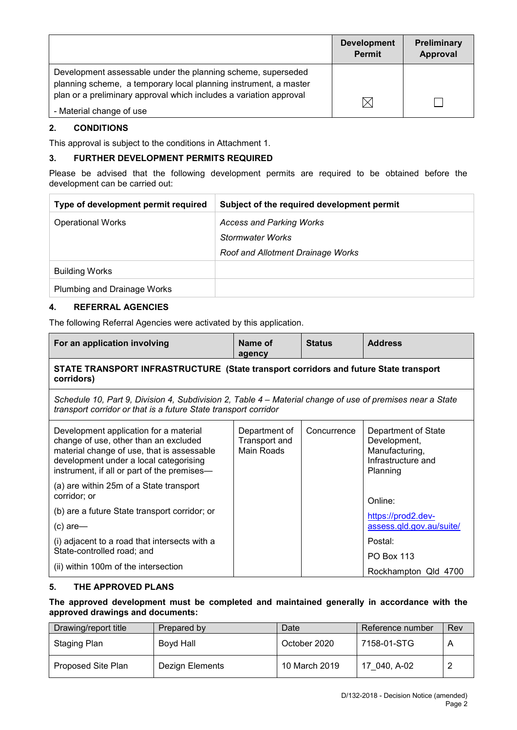|                                                                                                                                                                                                        | <b>Development</b><br><b>Permit</b> | Preliminary<br>Approval |
|--------------------------------------------------------------------------------------------------------------------------------------------------------------------------------------------------------|-------------------------------------|-------------------------|
| Development assessable under the planning scheme, superseded<br>planning scheme, a temporary local planning instrument, a master<br>plan or a preliminary approval which includes a variation approval |                                     |                         |
| - Material change of use                                                                                                                                                                               | $\times$                            |                         |

#### **2. CONDITIONS**

This approval is subject to the conditions in Attachment 1.

## **3. FURTHER DEVELOPMENT PERMITS REQUIRED**

Please be advised that the following development permits are required to be obtained before the development can be carried out:

| Type of development permit required | Subject of the required development permit |
|-------------------------------------|--------------------------------------------|
| <b>Operational Works</b>            | <b>Access and Parking Works</b>            |
|                                     | Stormwater Works                           |
|                                     | Roof and Allotment Drainage Works          |
| <b>Building Works</b>               |                                            |
| <b>Plumbing and Drainage Works</b>  |                                            |

#### **4. REFERRAL AGENCIES**

The following Referral Agencies were activated by this application.

| For an application involving                                                                                                                                                                                           | Name of<br>agency                            | <b>Status</b> | <b>Address</b>                                                                          |  |
|------------------------------------------------------------------------------------------------------------------------------------------------------------------------------------------------------------------------|----------------------------------------------|---------------|-----------------------------------------------------------------------------------------|--|
| STATE TRANSPORT INFRASTRUCTURE (State transport corridors and future State transport<br>corridors)                                                                                                                     |                                              |               |                                                                                         |  |
| Schedule 10, Part 9, Division 4, Subdivision 2, Table 4 – Material change of use of premises near a State<br>transport corridor or that is a future State transport corridor                                           |                                              |               |                                                                                         |  |
| Development application for a material<br>change of use, other than an excluded<br>material change of use, that is assessable<br>development under a local categorising<br>instrument, if all or part of the premises- | Department of<br>Transport and<br>Main Roads | Concurrence   | Department of State<br>Development,<br>Manufacturing,<br>Infrastructure and<br>Planning |  |
| (a) are within 25m of a State transport<br>corridor; or                                                                                                                                                                |                                              |               | Online:                                                                                 |  |
| (b) are a future State transport corridor; or                                                                                                                                                                          |                                              |               | https://prod2.dev-                                                                      |  |
| $(c)$ are-                                                                                                                                                                                                             |                                              |               | assess.qld.gov.au/suite/                                                                |  |
| (i) adjacent to a road that intersects with a<br>State-controlled road; and                                                                                                                                            |                                              |               | Postal:<br><b>PO Box 113</b>                                                            |  |
| (ii) within 100m of the intersection                                                                                                                                                                                   |                                              |               | Rockhampton Qld 4700                                                                    |  |

#### **5. THE APPROVED PLANS**

#### **The approved development must be completed and maintained generally in accordance with the approved drawings and documents:**

| Drawing/report title | Prepared by     | Date          | Reference number | Rev |
|----------------------|-----------------|---------------|------------------|-----|
| Staging Plan         | Boyd Hall       | October 2020  | 7158-01-STG      |     |
| Proposed Site Plan   | Dezign Elements | 10 March 2019 | 17 040, A-02     |     |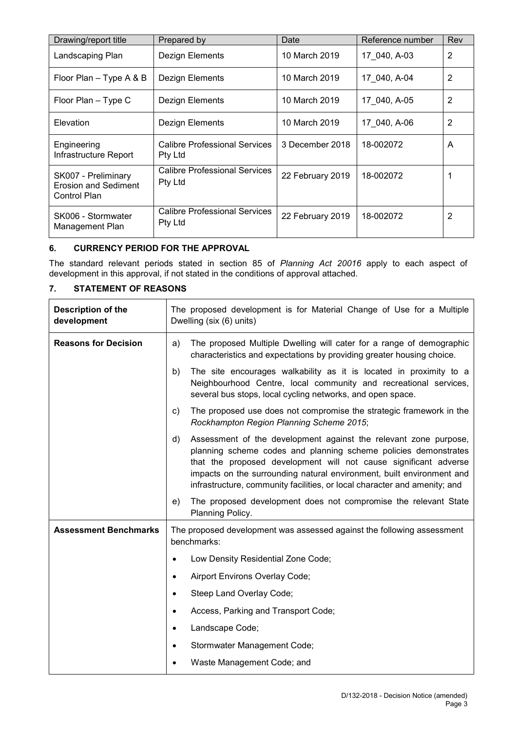| Drawing/report title                                               | Prepared by                                     | Date             | Reference number | Rev            |
|--------------------------------------------------------------------|-------------------------------------------------|------------------|------------------|----------------|
| Landscaping Plan                                                   | Dezign Elements                                 | 10 March 2019    | 17 040, A-03     | $\overline{2}$ |
| Floor Plan – Type A & B                                            | Dezign Elements                                 | 10 March 2019    | 17 040, A-04     | $\overline{2}$ |
| Floor Plan - Type C                                                | Dezign Elements                                 | 10 March 2019    | 17 040, A-05     | 2              |
| Elevation                                                          | Dezign Elements                                 | 10 March 2019    | 17 040, A-06     | 2              |
| Engineering<br>Infrastructure Report                               | Calibre Professional Services<br>Pty Ltd        | 3 December 2018  | 18-002072        | A              |
| SK007 - Preliminary<br><b>Erosion and Sediment</b><br>Control Plan | <b>Calibre Professional Services</b><br>Pty Ltd | 22 February 2019 | 18-002072        |                |
| SK006 - Stormwater<br>Management Plan                              | Calibre Professional Services<br>Pty Ltd        | 22 February 2019 | 18-002072        | 2              |

## **6. CURRENCY PERIOD FOR THE APPROVAL**

The standard relevant periods stated in section 85 of *Planning Act 20016* apply to each aspect of development in this approval, if not stated in the conditions of approval attached.

## **7. STATEMENT OF REASONS**

| <b>Description of the</b><br>development | The proposed development is for Material Change of Use for a Multiple<br>Dwelling (six (6) units) |                                                                                                                                                                                                                                                                                                                                                               |
|------------------------------------------|---------------------------------------------------------------------------------------------------|---------------------------------------------------------------------------------------------------------------------------------------------------------------------------------------------------------------------------------------------------------------------------------------------------------------------------------------------------------------|
| <b>Reasons for Decision</b>              | a)                                                                                                | The proposed Multiple Dwelling will cater for a range of demographic<br>characteristics and expectations by providing greater housing choice.                                                                                                                                                                                                                 |
|                                          | b)                                                                                                | The site encourages walkability as it is located in proximity to a<br>Neighbourhood Centre, local community and recreational services,<br>several bus stops, local cycling networks, and open space.                                                                                                                                                          |
|                                          | c)                                                                                                | The proposed use does not compromise the strategic framework in the<br>Rockhampton Region Planning Scheme 2015;                                                                                                                                                                                                                                               |
|                                          | d)                                                                                                | Assessment of the development against the relevant zone purpose,<br>planning scheme codes and planning scheme policies demonstrates<br>that the proposed development will not cause significant adverse<br>impacts on the surrounding natural environment, built environment and<br>infrastructure, community facilities, or local character and amenity; and |
|                                          | e)                                                                                                | The proposed development does not compromise the relevant State<br>Planning Policy.                                                                                                                                                                                                                                                                           |
| <b>Assessment Benchmarks</b>             |                                                                                                   | The proposed development was assessed against the following assessment<br>benchmarks:                                                                                                                                                                                                                                                                         |
|                                          |                                                                                                   | Low Density Residential Zone Code;                                                                                                                                                                                                                                                                                                                            |
|                                          | $\bullet$                                                                                         | Airport Environs Overlay Code;                                                                                                                                                                                                                                                                                                                                |
|                                          | $\bullet$                                                                                         | Steep Land Overlay Code;                                                                                                                                                                                                                                                                                                                                      |
|                                          | $\bullet$                                                                                         | Access, Parking and Transport Code;                                                                                                                                                                                                                                                                                                                           |
|                                          | ٠                                                                                                 | Landscape Code;                                                                                                                                                                                                                                                                                                                                               |
|                                          |                                                                                                   | Stormwater Management Code;                                                                                                                                                                                                                                                                                                                                   |
|                                          |                                                                                                   | Waste Management Code; and                                                                                                                                                                                                                                                                                                                                    |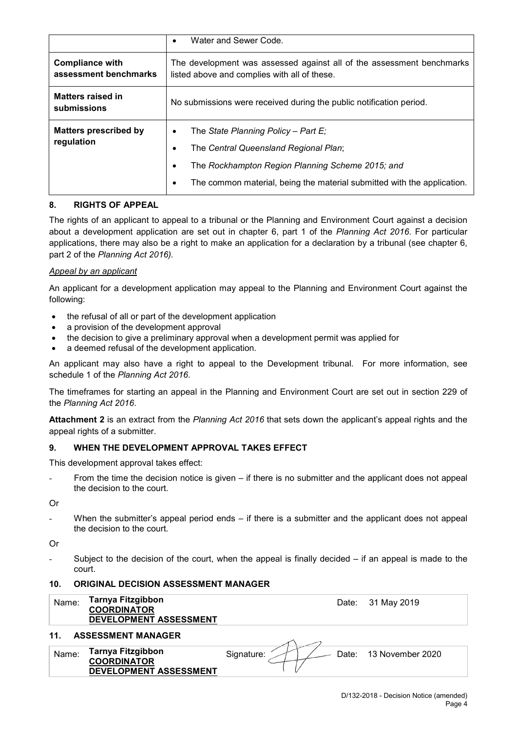|                                                 | Water and Sewer Code.<br>$\bullet$                                                                                                                                                                                                 |  |
|-------------------------------------------------|------------------------------------------------------------------------------------------------------------------------------------------------------------------------------------------------------------------------------------|--|
| <b>Compliance with</b><br>assessment benchmarks | The development was assessed against all of the assessment benchmarks<br>listed above and complies with all of these.                                                                                                              |  |
| Matters raised in<br>submissions                | No submissions were received during the public notification period.                                                                                                                                                                |  |
| <b>Matters prescribed by</b><br>regulation      | The State Planning Policy - Part E;<br>٠<br>The Central Queensland Regional Plan;<br>$\bullet$<br>The Rockhampton Region Planning Scheme 2015; and<br>٠<br>The common material, being the material submitted with the application. |  |

#### **8. RIGHTS OF APPEAL**

The rights of an applicant to appeal to a tribunal or the Planning and Environment Court against a decision about a development application are set out in chapter 6, part 1 of the *Planning Act 2016*. For particular applications, there may also be a right to make an application for a declaration by a tribunal (see chapter 6, part 2 of the *Planning Act 2016).*

#### *Appeal by an applicant*

An applicant for a development application may appeal to the Planning and Environment Court against the following:

- the refusal of all or part of the development application
- a provision of the development approval
- the decision to give a preliminary approval when a development permit was applied for
- a deemed refusal of the development application.

An applicant may also have a right to appeal to the Development tribunal. For more information, see schedule 1 of the *Planning Act 2016*.

The timeframes for starting an appeal in the Planning and Environment Court are set out in section 229 of the *Planning Act 2016*.

**Attachment 2** is an extract from the *Planning Act 2016* that sets down the applicant's appeal rights and the appeal rights of a submitter.

#### **9. WHEN THE DEVELOPMENT APPROVAL TAKES EFFECT**

This development approval takes effect:

From the time the decision notice is given – if there is no submitter and the applicant does not appeal the decision to the court.

Or

When the submitter's appeal period ends – if there is a submitter and the applicant does not appeal the decision to the court.

Or

Subject to the decision of the court, when the appeal is finally decided  $-$  if an appeal is made to the court.

#### **10. ORIGINAL DECISION ASSESSMENT MANAGER**

| <b>Tarnya Fitzgibbon</b><br>Name:<br><b>COORDINATOR</b> | DEVELOPMENT ASSESSMENT |            | Date: 31 May 2019      |
|---------------------------------------------------------|------------------------|------------|------------------------|
| 11.<br><b>ASSESSMENT MANAGER</b>                        |                        |            |                        |
| <b>Tarnya Fitzgibbon</b><br>Name:<br><b>COORDINATOR</b> | DEVELOPMENT ASSESSMENT | Signature: | Date: 13 November 2020 |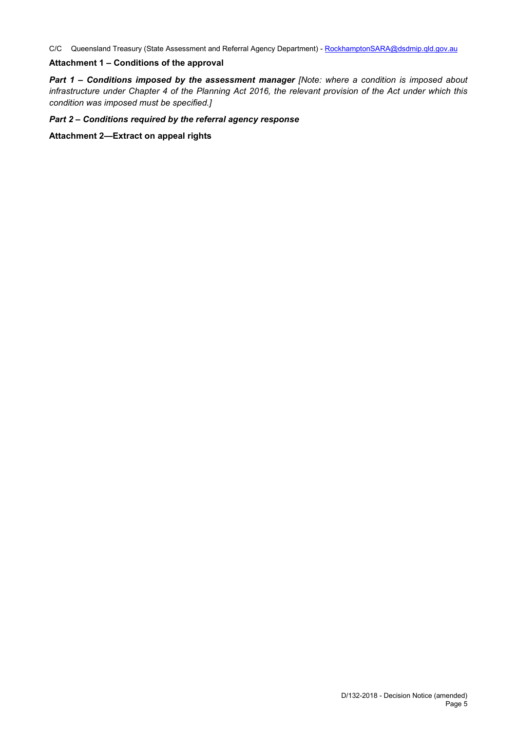C/C Queensland Treasury (State Assessment and Referral Agency Department) - [RockhamptonSARA@dsdmip.qld.gov.au](mailto:RockhamptonSARA@dilgp.qld.gov.au)

#### **Attachment 1 – Conditions of the approval**

*Part 1* **–** *Conditions imposed by the assessment manager [Note: where a condition is imposed about infrastructure under Chapter 4 of the Planning Act 2016, the relevant provision of the Act under which this condition was imposed must be specified.]*

#### *Part 2 – Conditions required by the referral agency response*

**Attachment 2—Extract on appeal rights**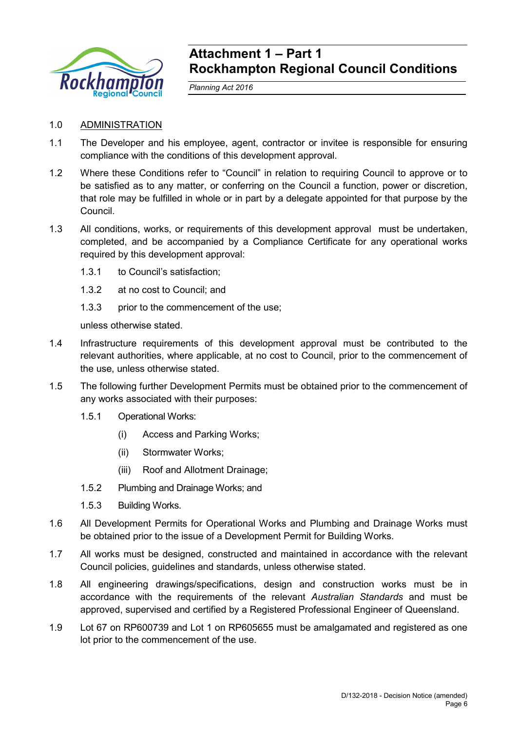

## **Attachment 1 – Part 1 Rockhampton Regional Council Conditions**

*Planning Act 2016*

## 1.0 ADMINISTRATION

- 1.1 The Developer and his employee, agent, contractor or invitee is responsible for ensuring compliance with the conditions of this development approval.
- 1.2 Where these Conditions refer to "Council" in relation to requiring Council to approve or to be satisfied as to any matter, or conferring on the Council a function, power or discretion, that role may be fulfilled in whole or in part by a delegate appointed for that purpose by the Council.
- 1.3 All conditions, works, or requirements of this development approval must be undertaken, completed, and be accompanied by a Compliance Certificate for any operational works required by this development approval:
	- 1.3.1 to Council's satisfaction;
	- 1.3.2 at no cost to Council; and
	- 1.3.3 prior to the commencement of the use:

unless otherwise stated.

- 1.4 Infrastructure requirements of this development approval must be contributed to the relevant authorities, where applicable, at no cost to Council, prior to the commencement of the use, unless otherwise stated.
- 1.5 The following further Development Permits must be obtained prior to the commencement of any works associated with their purposes:
	- 1.5.1 Operational Works:
		- (i) Access and Parking Works;
		- (ii) Stormwater Works;
		- (iii) Roof and Allotment Drainage;
	- 1.5.2 Plumbing and Drainage Works; and
	- 1.5.3 Building Works.
- 1.6 All Development Permits for Operational Works and Plumbing and Drainage Works must be obtained prior to the issue of a Development Permit for Building Works.
- 1.7 All works must be designed, constructed and maintained in accordance with the relevant Council policies, guidelines and standards, unless otherwise stated.
- 1.8 All engineering drawings/specifications, design and construction works must be in accordance with the requirements of the relevant *Australian Standards* and must be approved, supervised and certified by a Registered Professional Engineer of Queensland.
- 1.9 Lot 67 on RP600739 and Lot 1 on RP605655 must be amalgamated and registered as one lot prior to the commencement of the use.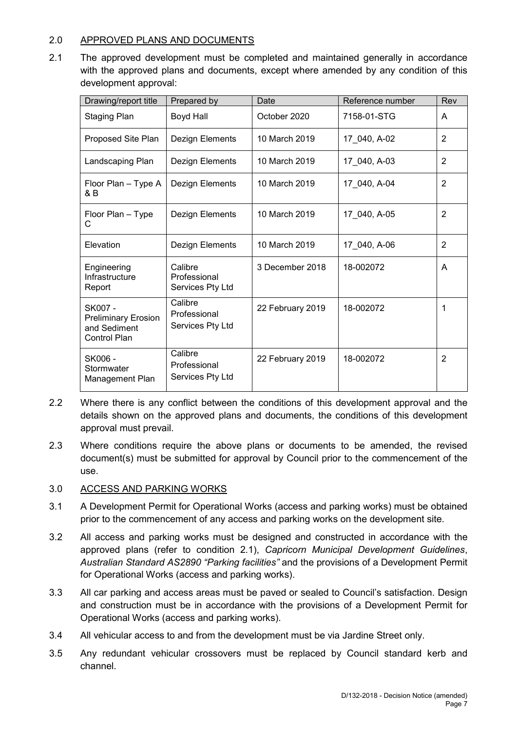## 2.0 APPROVED PLANS AND DOCUMENTS

2.1 The approved development must be completed and maintained generally in accordance with the approved plans and documents, except where amended by any condition of this development approval:

| Drawing/report title                                                  | Prepared by                                 | Date             | Reference number | Rev            |
|-----------------------------------------------------------------------|---------------------------------------------|------------------|------------------|----------------|
| <b>Staging Plan</b>                                                   | Boyd Hall                                   | October 2020     | 7158-01-STG      | A              |
| Proposed Site Plan                                                    | Dezign Elements                             | 10 March 2019    | 17 040, A-02     | $\overline{2}$ |
| Landscaping Plan                                                      | Dezign Elements                             | 10 March 2019    | 17 040, A-03     | 2              |
| Floor Plan - Type A<br>& B                                            | Dezign Elements                             | 10 March 2019    | 17 040, A-04     | $\overline{2}$ |
| Floor Plan - Type<br>C                                                | Dezign Elements                             | 10 March 2019    | 17_040, A-05     | $\overline{2}$ |
| Elevation                                                             | Dezign Elements                             | 10 March 2019    | 17 040, A-06     | $\overline{2}$ |
| Engineering<br>Infrastructure<br>Report                               | Calibre<br>Professional<br>Services Pty Ltd | 3 December 2018  | 18-002072        | A              |
| SK007 -<br><b>Preliminary Erosion</b><br>and Sediment<br>Control Plan | Calibre<br>Professional<br>Services Pty Ltd | 22 February 2019 | 18-002072        | 1              |
| SK006-<br>Stormwater<br>Management Plan                               | Calibre<br>Professional<br>Services Pty Ltd | 22 February 2019 | 18-002072        | 2              |

- 2.2 Where there is any conflict between the conditions of this development approval and the details shown on the approved plans and documents, the conditions of this development approval must prevail.
- 2.3 Where conditions require the above plans or documents to be amended, the revised document(s) must be submitted for approval by Council prior to the commencement of the use.

## 3.0 ACCESS AND PARKING WORKS

- 3.1 A Development Permit for Operational Works (access and parking works) must be obtained prior to the commencement of any access and parking works on the development site.
- 3.2 All access and parking works must be designed and constructed in accordance with the approved plans (refer to condition 2.1), *Capricorn Municipal Development Guidelines*, *Australian Standard AS2890 "Parking facilities"* and the provisions of a Development Permit for Operational Works (access and parking works).
- 3.3 All car parking and access areas must be paved or sealed to Council's satisfaction. Design and construction must be in accordance with the provisions of a Development Permit for Operational Works (access and parking works).
- 3.4 All vehicular access to and from the development must be via Jardine Street only.
- 3.5 Any redundant vehicular crossovers must be replaced by Council standard kerb and channel.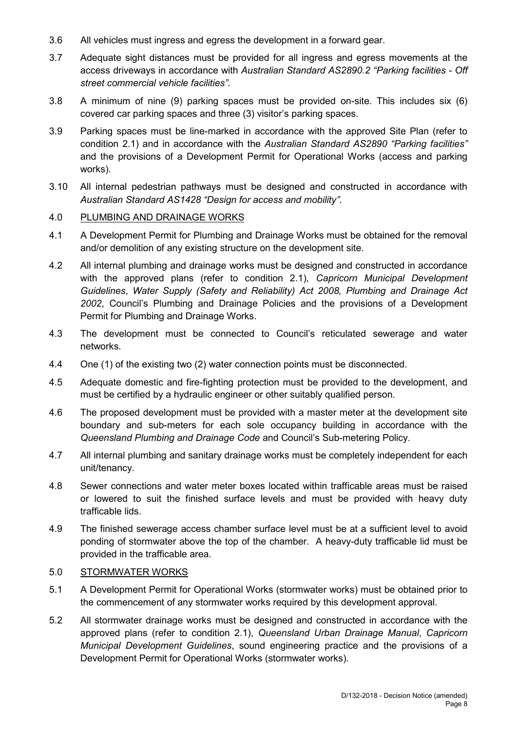- 3.6 All vehicles must ingress and egress the development in a forward gear.
- 3.7 Adequate sight distances must be provided for all ingress and egress movements at the access driveways in accordance with *Australian Standard AS2890.2 "Parking facilities - Off street commercial vehicle facilities"*.
- 3.8 A minimum of nine (9) parking spaces must be provided on-site. This includes six (6) covered car parking spaces and three (3) visitor's parking spaces.
- 3.9 Parking spaces must be line-marked in accordance with the approved Site Plan (refer to condition 2.1) and in accordance with the *Australian Standard AS2890 "Parking facilities"* and the provisions of a Development Permit for Operational Works (access and parking works).
- 3.10 All internal pedestrian pathways must be designed and constructed in accordance with *Australian Standard AS1428 "Design for access and mobility"*.

#### 4.0 PLUMBING AND DRAINAGE WORKS

- 4.1 A Development Permit for Plumbing and Drainage Works must be obtained for the removal and/or demolition of any existing structure on the development site.
- 4.2 All internal plumbing and drainage works must be designed and constructed in accordance with the approved plans (refer to condition 2.1), *Capricorn Municipal Development Guidelines*, *Water Supply (Safety and Reliability) Act 2008, Plumbing and Drainage Act 2002*, Council's Plumbing and Drainage Policies and the provisions of a Development Permit for Plumbing and Drainage Works.
- 4.3 The development must be connected to Council's reticulated sewerage and water networks.
- 4.4 One (1) of the existing two (2) water connection points must be disconnected.
- 4.5 Adequate domestic and fire-fighting protection must be provided to the development, and must be certified by a hydraulic engineer or other suitably qualified person.
- 4.6 The proposed development must be provided with a master meter at the development site boundary and sub-meters for each sole occupancy building in accordance with the *Queensland Plumbing and Drainage Code* and Council's Sub-metering Policy.
- 4.7 All internal plumbing and sanitary drainage works must be completely independent for each unit/tenancy.
- 4.8 Sewer connections and water meter boxes located within trafficable areas must be raised or lowered to suit the finished surface levels and must be provided with heavy duty trafficable lids.
- 4.9 The finished sewerage access chamber surface level must be at a sufficient level to avoid ponding of stormwater above the top of the chamber. A heavy-duty trafficable lid must be provided in the trafficable area.

#### 5.0 STORMWATER WORKS

- 5.1 A Development Permit for Operational Works (stormwater works) must be obtained prior to the commencement of any stormwater works required by this development approval.
- 5.2 All stormwater drainage works must be designed and constructed in accordance with the approved plans (refer to condition 2.1), *Queensland Urban Drainage Manual*, *Capricorn Municipal Development Guidelines*, sound engineering practice and the provisions of a Development Permit for Operational Works (stormwater works).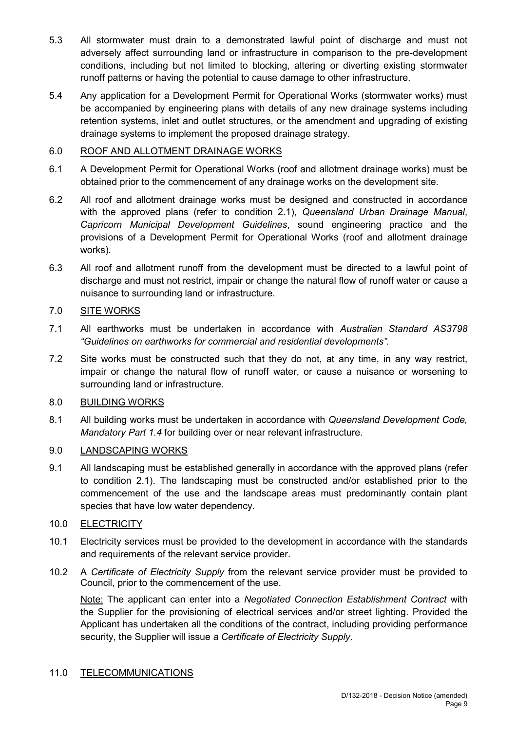- 5.3 All stormwater must drain to a demonstrated lawful point of discharge and must not adversely affect surrounding land or infrastructure in comparison to the pre-development conditions, including but not limited to blocking, altering or diverting existing stormwater runoff patterns or having the potential to cause damage to other infrastructure.
- 5.4 Any application for a Development Permit for Operational Works (stormwater works) must be accompanied by engineering plans with details of any new drainage systems including retention systems, inlet and outlet structures, or the amendment and upgrading of existing drainage systems to implement the proposed drainage strategy.

## 6.0 ROOF AND ALLOTMENT DRAINAGE WORKS

- 6.1 A Development Permit for Operational Works (roof and allotment drainage works) must be obtained prior to the commencement of any drainage works on the development site.
- 6.2 All roof and allotment drainage works must be designed and constructed in accordance with the approved plans (refer to condition 2.1), *Queensland Urban Drainage Manual*, *Capricorn Municipal Development Guidelines*, sound engineering practice and the provisions of a Development Permit for Operational Works (roof and allotment drainage works).
- 6.3 All roof and allotment runoff from the development must be directed to a lawful point of discharge and must not restrict, impair or change the natural flow of runoff water or cause a nuisance to surrounding land or infrastructure.

## 7.0 SITE WORKS

- 7.1 All earthworks must be undertaken in accordance with *Australian Standard AS3798 "Guidelines on earthworks for commercial and residential developments".*
- 7.2 Site works must be constructed such that they do not, at any time, in any way restrict, impair or change the natural flow of runoff water, or cause a nuisance or worsening to surrounding land or infrastructure.

## 8.0 BUILDING WORKS

8.1 All building works must be undertaken in accordance with *Queensland Development Code, Mandatory Part 1.4* for building over or near relevant infrastructure.

## 9.0 LANDSCAPING WORKS

9.1 All landscaping must be established generally in accordance with the approved plans (refer to condition 2.1). The landscaping must be constructed and/or established prior to the commencement of the use and the landscape areas must predominantly contain plant species that have low water dependency.

## 10.0 ELECTRICITY

- 10.1 Electricity services must be provided to the development in accordance with the standards and requirements of the relevant service provider.
- 10.2 A *Certificate of Electricity Supply* from the relevant service provider must be provided to Council, prior to the commencement of the use.

Note: The applicant can enter into a *Negotiated Connection Establishment Contract* with the Supplier for the provisioning of electrical services and/or street lighting. Provided the Applicant has undertaken all the conditions of the contract, including providing performance security, the Supplier will issue *a Certificate of Electricity Supply*.

## 11.0 TELECOMMUNICATIONS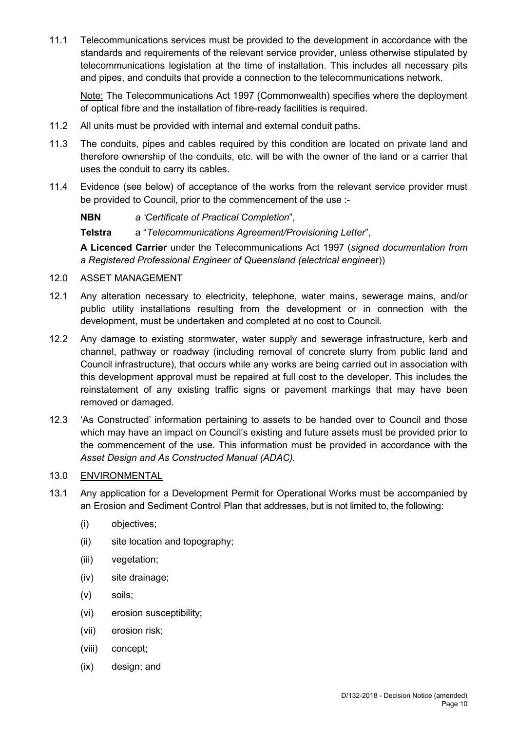11.1 Telecommunications services must be provided to the development in accordance with the standards and requirements of the relevant service provider, unless otherwise stipulated by telecommunications legislation at the time of installation. This includes all necessary pits and pipes, and conduits that provide a connection to the telecommunications network.

Note: The Telecommunications Act 1997 (Commonwealth) specifies where the deployment of optical fibre and the installation of fibre-ready facilities is required.

- 11.2 All units must be provided with internal and external conduit paths.
- 11.3 The conduits, pipes and cables required by this condition are located on private land and therefore ownership of the conduits, etc. will be with the owner of the land or a carrier that uses the conduit to carry its cables.
- 11.4 Evidence (see below) of acceptance of the works from the relevant service provider must be provided to Council, prior to the commencement of the use :-

**NBN** *a 'Certificate of Practical Completion*",

**Telstra** a "*Telecommunications Agreement/Provisioning Letter*",

**A Licenced Carrier** under the Telecommunications Act 1997 (*signed documentation from a Registered Professional Engineer of Queensland (electrical enginee*r))

## 12.0 ASSET MANAGEMENT

- 12.1 Any alteration necessary to electricity, telephone, water mains, sewerage mains, and/or public utility installations resulting from the development or in connection with the development, must be undertaken and completed at no cost to Council.
- 12.2 Any damage to existing stormwater, water supply and sewerage infrastructure, kerb and channel, pathway or roadway (including removal of concrete slurry from public land and Council infrastructure), that occurs while any works are being carried out in association with this development approval must be repaired at full cost to the developer. This includes the reinstatement of any existing traffic signs or pavement markings that may have been removed or damaged.
- 12.3 'As Constructed' information pertaining to assets to be handed over to Council and those which may have an impact on Council's existing and future assets must be provided prior to the commencement of the use. This information must be provided in accordance with the *Asset Design and As Constructed Manual (ADAC).*

## 13.0 ENVIRONMENTAL

- 13.1 Any application for a Development Permit for Operational Works must be accompanied by an Erosion and Sediment Control Plan that addresses, but is not limited to, the following:
	- (i) objectives;
	- (ii) site location and topography;
	- (iii) vegetation;
	- (iv) site drainage;
	- (v) soils;
	- (vi) erosion susceptibility;
	- (vii) erosion risk;
	- (viii) concept;
	- (ix) design; and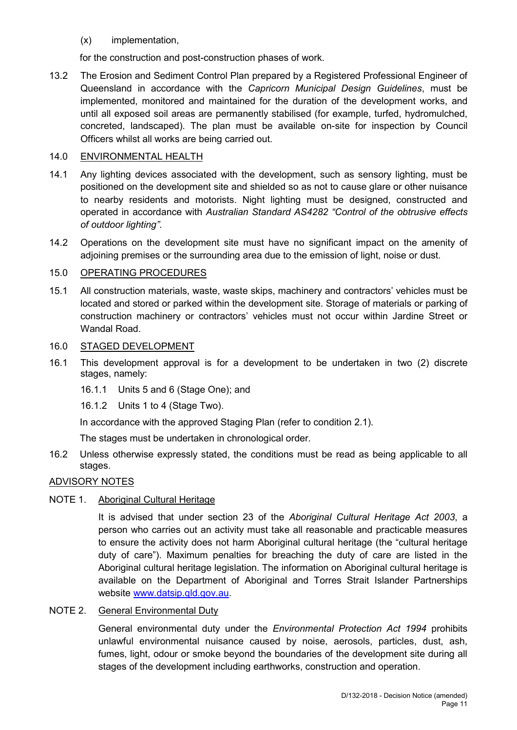(x) implementation,

for the construction and post-construction phases of work.

13.2 The Erosion and Sediment Control Plan prepared by a Registered Professional Engineer of Queensland in accordance with the *Capricorn Municipal Design Guidelines*, must be implemented, monitored and maintained for the duration of the development works, and until all exposed soil areas are permanently stabilised (for example, turfed, hydromulched, concreted, landscaped). The plan must be available on-site for inspection by Council Officers whilst all works are being carried out.

## 14.0 ENVIRONMENTAL HEALTH

- 14.1 Any lighting devices associated with the development, such as sensory lighting, must be positioned on the development site and shielded so as not to cause glare or other nuisance to nearby residents and motorists. Night lighting must be designed, constructed and operated in accordance with *Australian Standard AS4282 "Control of the obtrusive effects of outdoor lighting"*.
- 14.2 Operations on the development site must have no significant impact on the amenity of adjoining premises or the surrounding area due to the emission of light, noise or dust.

## 15.0 OPERATING PROCEDURES

15.1 All construction materials, waste, waste skips, machinery and contractors' vehicles must be located and stored or parked within the development site. Storage of materials or parking of construction machinery or contractors' vehicles must not occur within Jardine Street or Wandal Road.

## 16.0 STAGED DEVELOPMENT

- 16.1 This development approval is for a development to be undertaken in two (2) discrete stages, namely:
	- 16.1.1 Units 5 and 6 (Stage One); and
	- 16.1.2 Units 1 to 4 (Stage Two).

In accordance with the approved Staging Plan (refer to condition 2.1).

The stages must be undertaken in chronological order.

16.2 Unless otherwise expressly stated, the conditions must be read as being applicable to all stages.

## ADVISORY NOTES

## NOTE 1. Aboriginal Cultural Heritage

It is advised that under section 23 of the *Aboriginal Cultural Heritage Act 2003*, a person who carries out an activity must take all reasonable and practicable measures to ensure the activity does not harm Aboriginal cultural heritage (the "cultural heritage duty of care"). Maximum penalties for breaching the duty of care are listed in the Aboriginal cultural heritage legislation. The information on Aboriginal cultural heritage is available on the Department of Aboriginal and Torres Strait Islander Partnerships website [www.datsip.qld.gov.au.](http://www.datsip.qld.gov.au/)

## NOTE 2. General Environmental Duty

General environmental duty under the *Environmental Protection Act 1994* prohibits unlawful environmental nuisance caused by noise, aerosols, particles, dust, ash, fumes, light, odour or smoke beyond the boundaries of the development site during all stages of the development including earthworks, construction and operation.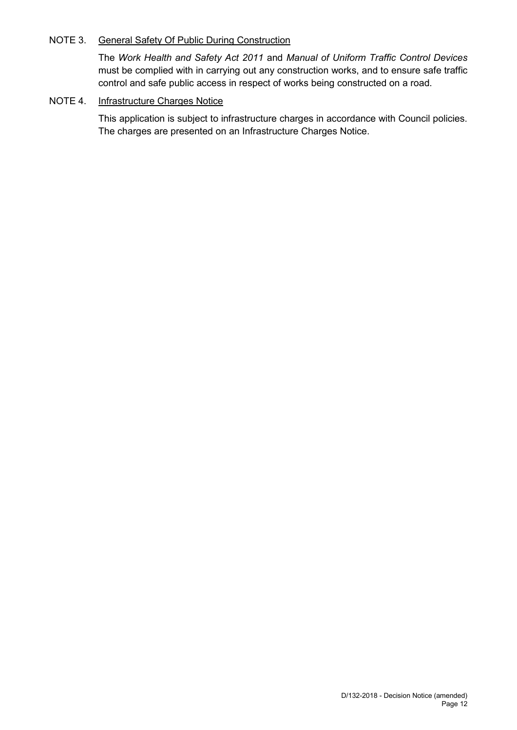## NOTE 3. General Safety Of Public During Construction

The *Work Health and Safety Act 2011* and *Manual of Uniform Traffic Control Devices* must be complied with in carrying out any construction works, and to ensure safe traffic control and safe public access in respect of works being constructed on a road.

## NOTE 4. Infrastructure Charges Notice

This application is subject to infrastructure charges in accordance with Council policies. The charges are presented on an Infrastructure Charges Notice.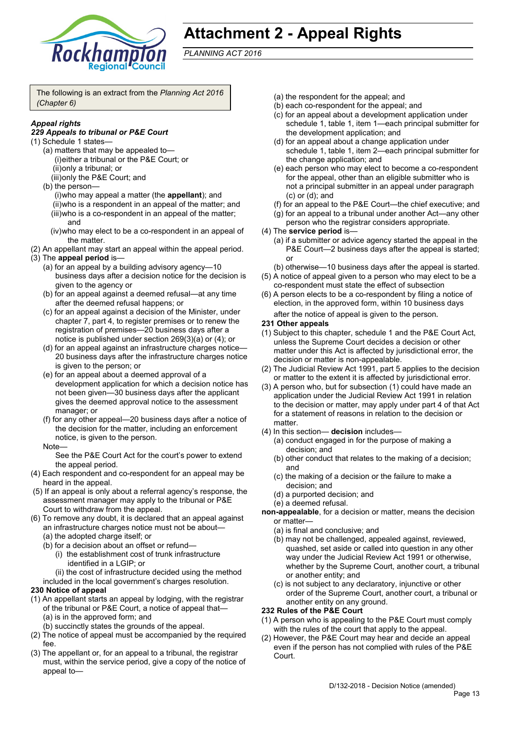

## **Attachment 2 - Appeal Rights**

*PLANNING ACT 2016*

The following is an extract from the *Planning Act 2016 (Chapter 6)*

## *Appeal rights*

#### *229 Appeals to tribunal or P&E Court*

- (1) Schedule 1 states—
	- (a) matters that may be appealed to— (i)either a tribunal or the P&E Court; or (ii)only a tribunal; or
		- (iii)only the P&E Court; and
	- (b) the person— (i)who may appeal a matter (the **appellant**); and (ii)who is a respondent in an appeal of the matter; and (iii)who is a co-respondent in an appeal of the matter; and
		- (iv)who may elect to be a co-respondent in an appeal of the matter.
- (2) An appellant may start an appeal within the appeal period.
- (3) The **appeal period** is—
	- (a) for an appeal by a building advisory agency—10 business days after a decision notice for the decision is given to the agency or
	- (b) for an appeal against a deemed refusal—at any time after the deemed refusal happens; or
	- (c) for an appeal against a decision of the Minister, under chapter 7, part 4, to register premises or to renew the registration of premises—20 business days after a notice is published under section 269(3)(a) or (4); or
	- (d) for an appeal against an infrastructure charges notice— 20 business days after the infrastructure charges notice is given to the person; or
	- (e) for an appeal about a deemed approval of a development application for which a decision notice has not been given—30 business days after the applicant gives the deemed approval notice to the assessment manager; or
	- (f) for any other appeal—20 business days after a notice of the decision for the matter, including an enforcement notice, is given to the person.
	- **Note**

See the P&E Court Act for the court's power to extend the appeal period.

- (4) Each respondent and co-respondent for an appeal may be heard in the appeal.
- (5) If an appeal is only about a referral agency's response, the assessment manager may apply to the tribunal or P&E Court to withdraw from the appeal.
- (6) To remove any doubt, it is declared that an appeal against an infrastructure charges notice must not be about—
	- (a) the adopted charge itself; or
	- (b) for a decision about an offset or refund—
		- (i) the establishment cost of trunk infrastructure identified in a LGIP; or
	- (ii) the cost of infrastructure decided using the method included in the local government's charges resolution.

#### **230 Notice of appeal**

- (1) An appellant starts an appeal by lodging, with the registrar of the tribunal or P&E Court, a notice of appeal that— (a) is in the approved form; and
	- (b) succinctly states the grounds of the appeal.
- (2) The notice of appeal must be accompanied by the required fee.
- (3) The appellant or, for an appeal to a tribunal, the registrar must, within the service period, give a copy of the notice of appeal to—
- (a) the respondent for the appeal; and
- (b) each co-respondent for the appeal; and
- (c) for an appeal about a development application under schedule 1, table 1, item 1—each principal submitter for the development application; and
- (d) for an appeal about a change application under schedule 1, table 1, item 2—each principal submitter for the change application; and
- (e) each person who may elect to become a co-respondent for the appeal, other than an eligible submitter who is not a principal submitter in an appeal under paragraph (c) or (d); and
- (f) for an appeal to the P&E Court—the chief executive; and
- (g) for an appeal to a tribunal under another Act—any other person who the registrar considers appropriate.
- (4) The **service period** is—
	- (a) if a submitter or advice agency started the appeal in the P&E Court—2 business days after the appeal is started; or
	- (b) otherwise—10 business days after the appeal is started.
- (5) A notice of appeal given to a person who may elect to be a co-respondent must state the effect of subsection
- (6) A person elects to be a co-respondent by filing a notice of election, in the approved form, within 10 business days after the notice of appeal is given to the person*.*
- **231 Other appeals**
- (1) Subject to this chapter, schedule 1 and the P&E Court Act, unless the Supreme Court decides a decision or other matter under this Act is affected by jurisdictional error, the decision or matter is non-appealable.
- (2) The Judicial Review Act 1991, part 5 applies to the decision or matter to the extent it is affected by jurisdictional error.
- (3) A person who, but for subsection (1) could have made an application under the Judicial Review Act 1991 in relation to the decision or matter, may apply under part 4 of that Act for a statement of reasons in relation to the decision or matter.
- (4) In this section— **decision** includes—
	- (a) conduct engaged in for the purpose of making a decision; and
	- (b) other conduct that relates to the making of a decision; and
	- (c) the making of a decision or the failure to make a decision; and
	- (d) a purported decision; and
	- (e) a deemed refusal.
- **non-appealable**, for a decision or matter, means the decision or matter—
	- (a) is final and conclusive; and
	- (b) may not be challenged, appealed against, reviewed, quashed, set aside or called into question in any other way under the Judicial Review Act 1991 or otherwise, whether by the Supreme Court, another court, a tribunal or another entity; and
	- (c) is not subject to any declaratory, injunctive or other order of the Supreme Court, another court, a tribunal or another entity on any ground.

#### **232 Rules of the P&E Court**

- (1) A person who is appealing to the P&E Court must comply with the rules of the court that apply to the appeal.
- (2) However, the P&E Court may hear and decide an appeal even if the person has not complied with rules of the P&E Court.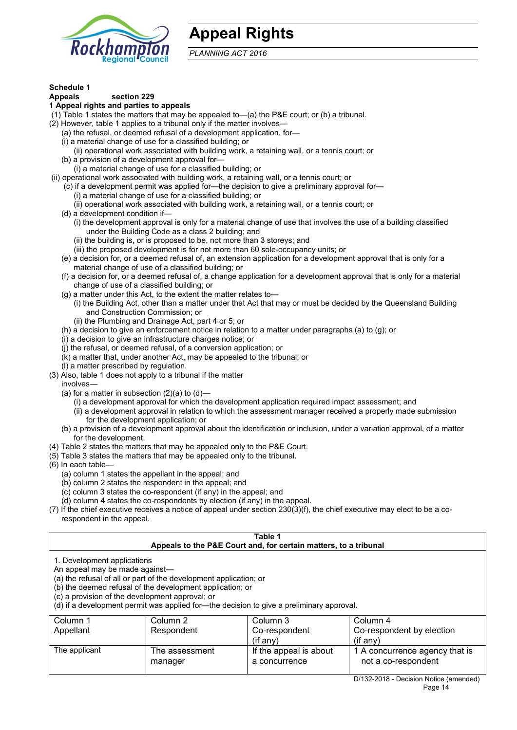

## **Appeal Rights**

*PLANNING ACT 2016*

## **Schedule 1**

#### **Appeals section 229**

#### **1 Appeal rights and parties to appeals**

- (1) Table 1 states the matters that may be appealed to—(a) the P&E court; or (b) a tribunal.
- (2) However, table 1 applies to a tribunal only if the matter involves—
	- (a) the refusal, or deemed refusal of a development application, for—
	- (i) a material change of use for a classified building; or
	- (ii) operational work associated with building work, a retaining wall, or a tennis court; or
	- (b) a provision of a development approval for—
- (i) a material change of use for a classified building; or
- (ii) operational work associated with building work, a retaining wall, or a tennis court; or
	- (c) if a development permit was applied for—the decision to give a preliminary approval for— (i) a material change of use for a classified building; or
		- (ii) operational work associated with building work, a retaining wall, or a tennis court; or
	- (d) a development condition if—
		- (i) the development approval is only for a material change of use that involves the use of a building classified under the Building Code as a class 2 building; and
			- (ii) the building is, or is proposed to be, not more than 3 storeys; and
			- (iii) the proposed development is for not more than 60 sole-occupancy units; or
	- (e) a decision for, or a deemed refusal of, an extension application for a development approval that is only for a material change of use of a classified building; or
	- (f) a decision for, or a deemed refusal of, a change application for a development approval that is only for a material change of use of a classified building; or
	- (g) a matter under this Act, to the extent the matter relates to—
		- (i) the Building Act, other than a matter under that Act that may or must be decided by the Queensland Building and Construction Commission; or
		- (ii) the Plumbing and Drainage Act, part 4 or 5; or
	- (h) a decision to give an enforcement notice in relation to a matter under paragraphs (a) to (g); or
	- (i) a decision to give an infrastructure charges notice; or
	- (j) the refusal, or deemed refusal, of a conversion application; or
	- (k) a matter that, under another Act, may be appealed to the tribunal; or
- (l) a matter prescribed by regulation. (3) Also, table 1 does not apply to a tribunal if the matter
	- involves—
	- (a) for a matter in subsection  $(2)(a)$  to  $(d)$ 
		- (i) a development approval for which the development application required impact assessment; and
		- (ii) a development approval in relation to which the assessment manager received a properly made submission for the development application; or
	- (b) a provision of a development approval about the identification or inclusion, under a variation approval, of a matter for the development.
- (4) Table 2 states the matters that may be appealed only to the P&E Court.
- (5) Table 3 states the matters that may be appealed only to the tribunal.
- (6) In each table—
	- (a) column 1 states the appellant in the appeal; and
	- (b) column 2 states the respondent in the appeal; and
	- $(c)$  column 3 states the co-respondent (if any) in the appeal; and
	- (d) column 4 states the co-respondents by election (if any) in the appeal.
- (7) If the chief executive receives a notice of appeal under section 230(3)(f), the chief executive may elect to be a corespondent in the appeal.

| Table 1<br>Appeals to the P&E Court and, for certain matters, to a tribunal                                      |                                                                                                                                |                                                                                          |                                                       |  |
|------------------------------------------------------------------------------------------------------------------|--------------------------------------------------------------------------------------------------------------------------------|------------------------------------------------------------------------------------------|-------------------------------------------------------|--|
| 1. Development applications<br>An appeal may be made against-<br>(c) a provision of the development approval; or | (a) the refusal of all or part of the development application; or<br>(b) the deemed refusal of the development application; or | (d) if a development permit was applied for—the decision to give a preliminary approval. |                                                       |  |
| Column 1                                                                                                         | Column 2                                                                                                                       | Column 3                                                                                 | Column 4                                              |  |
| Appellant                                                                                                        | Respondent                                                                                                                     | Co-respondent<br>$($ if any $)$                                                          | Co-respondent by election<br>$(if$ anv)               |  |
| The applicant                                                                                                    | The assessment<br>manager                                                                                                      | If the appeal is about<br>a concurrence                                                  | 1 A concurrence agency that is<br>not a co-respondent |  |
|                                                                                                                  |                                                                                                                                |                                                                                          | D/122 2010 Decision Notice (amonded)                  |  |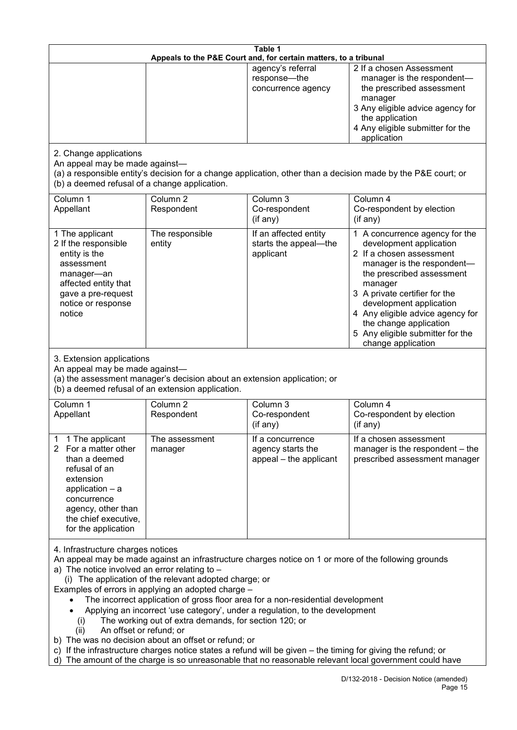| Table 1<br>Appeals to the P&E Court and, for certain matters, to a tribunal                                                                                                                          |                                                                                                                                                                                                                               |                                                                                                                                                                                                                                                                                                                                                                                         |                                                                                                                                                                                                                                                                                                                                                 |  |
|------------------------------------------------------------------------------------------------------------------------------------------------------------------------------------------------------|-------------------------------------------------------------------------------------------------------------------------------------------------------------------------------------------------------------------------------|-----------------------------------------------------------------------------------------------------------------------------------------------------------------------------------------------------------------------------------------------------------------------------------------------------------------------------------------------------------------------------------------|-------------------------------------------------------------------------------------------------------------------------------------------------------------------------------------------------------------------------------------------------------------------------------------------------------------------------------------------------|--|
|                                                                                                                                                                                                      |                                                                                                                                                                                                                               | agency's referral<br>response-the<br>concurrence agency                                                                                                                                                                                                                                                                                                                                 | 2 If a chosen Assessment<br>manager is the respondent-<br>the prescribed assessment<br>manager<br>3 Any eligible advice agency for<br>the application<br>4 Any eligible submitter for the<br>application                                                                                                                                        |  |
| 2. Change applications<br>An appeal may be made against-<br>(b) a deemed refusal of a change application.                                                                                            |                                                                                                                                                                                                                               |                                                                                                                                                                                                                                                                                                                                                                                         | (a) a responsible entity's decision for a change application, other than a decision made by the P&E court; or                                                                                                                                                                                                                                   |  |
| Column 1<br>Appellant                                                                                                                                                                                | Column <sub>2</sub><br>Respondent                                                                                                                                                                                             | Column 3<br>Co-respondent<br>(if any)                                                                                                                                                                                                                                                                                                                                                   | Column 4<br>Co-respondent by election<br>(if any)                                                                                                                                                                                                                                                                                               |  |
| 1 The applicant<br>2 If the responsible<br>entity is the<br>assessment<br>manager-an<br>affected entity that<br>gave a pre-request<br>notice or response<br>notice                                   | The responsible<br>entity                                                                                                                                                                                                     | If an affected entity<br>starts the appeal-the<br>applicant                                                                                                                                                                                                                                                                                                                             | 1 A concurrence agency for the<br>development application<br>2 If a chosen assessment<br>manager is the respondent-<br>the prescribed assessment<br>manager<br>3 A private certifier for the<br>development application<br>4 Any eligible advice agency for<br>the change application<br>5 Any eligible submitter for the<br>change application |  |
| 3. Extension applications<br>An appeal may be made against-<br>(a) the assessment manager's decision about an extension application; or<br>(b) a deemed refusal of an extension application.         |                                                                                                                                                                                                                               |                                                                                                                                                                                                                                                                                                                                                                                         |                                                                                                                                                                                                                                                                                                                                                 |  |
| Column 1<br>Appellant                                                                                                                                                                                | Column <sub>2</sub><br>Respondent                                                                                                                                                                                             | Column 3<br>Co-respondent<br>(if any)                                                                                                                                                                                                                                                                                                                                                   | Column 4<br>Co-respondent by election<br>(if any)                                                                                                                                                                                                                                                                                               |  |
| 1 The applicant<br>1<br>2 For a matter other<br>than a deemed<br>refusal of an<br>extension<br>application $-$ a<br>concurrence<br>agency, other than<br>the chief executive,<br>for the application | The assessment<br>manager                                                                                                                                                                                                     | If a concurrence<br>agency starts the<br>appeal - the applicant                                                                                                                                                                                                                                                                                                                         | If a chosen assessment<br>manager is the respondent - the<br>prescribed assessment manager                                                                                                                                                                                                                                                      |  |
| 4. Infrastructure charges notices<br>a) The notice involved an error relating to -<br>(i)<br>An offset or refund; or<br>(ii)                                                                         | (i) The application of the relevant adopted charge; or<br>Examples of errors in applying an adopted charge -<br>The working out of extra demands, for section 120; or<br>b) The was no decision about an offset or refund; or | An appeal may be made against an infrastructure charges notice on 1 or more of the following grounds<br>The incorrect application of gross floor area for a non-residential development<br>Applying an incorrect 'use category', under a regulation, to the development<br>c) If the infrastructure charges notice states a refund will be given – the timing for giving the refund; or | The amount of the charge is so unreasonable that no reasonable relevant local government could have                                                                                                                                                                                                                                             |  |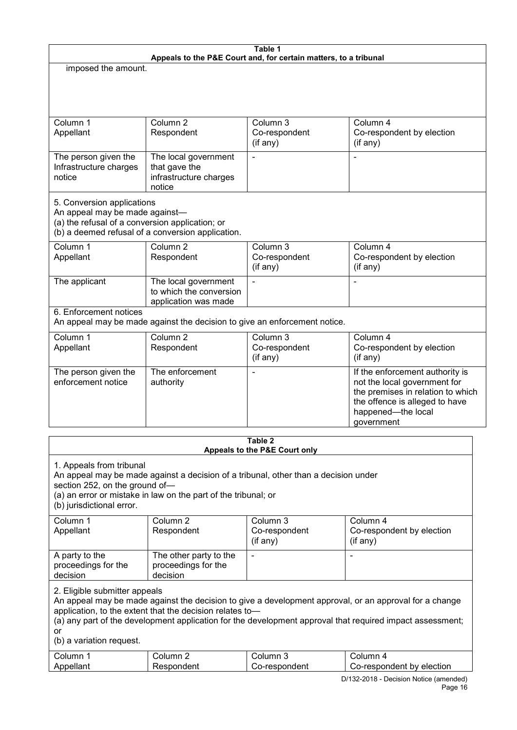| Table 1<br>Appeals to the P&E Court and, for certain matters, to a tribunal                                                              |                                                                                        |                                                                                     |                                                                                                                                                                                                                     |  |
|------------------------------------------------------------------------------------------------------------------------------------------|----------------------------------------------------------------------------------------|-------------------------------------------------------------------------------------|---------------------------------------------------------------------------------------------------------------------------------------------------------------------------------------------------------------------|--|
| imposed the amount.                                                                                                                      |                                                                                        |                                                                                     |                                                                                                                                                                                                                     |  |
|                                                                                                                                          |                                                                                        |                                                                                     |                                                                                                                                                                                                                     |  |
| Column 1<br>Appellant                                                                                                                    | Column <sub>2</sub><br>Respondent                                                      | Column 3<br>Co-respondent<br>(if any)                                               | Column 4<br>Co-respondent by election<br>(if any)                                                                                                                                                                   |  |
| The person given the<br>Infrastructure charges<br>notice                                                                                 | The local government<br>that gave the<br>infrastructure charges<br>notice              |                                                                                     |                                                                                                                                                                                                                     |  |
| 5. Conversion applications<br>An appeal may be made against-<br>(a) the refusal of a conversion application; or<br>Column 1<br>Appellant | (b) a deemed refusal of a conversion application.<br>Column <sub>2</sub><br>Respondent | Column 3<br>Co-respondent                                                           | Column 4<br>Co-respondent by election                                                                                                                                                                               |  |
| The applicant                                                                                                                            | The local government<br>to which the conversion<br>application was made                | (if any)                                                                            | (if any)<br>L,                                                                                                                                                                                                      |  |
| 6. Enforcement notices                                                                                                                   |                                                                                        | An appeal may be made against the decision to give an enforcement notice.           |                                                                                                                                                                                                                     |  |
| Column 1<br>Appellant                                                                                                                    | Column <sub>2</sub><br>Respondent                                                      | Column 3<br>Co-respondent<br>(if any)                                               | Column 4<br>Co-respondent by election<br>(if any)                                                                                                                                                                   |  |
| The person given the<br>enforcement notice                                                                                               | The enforcement<br>authority                                                           |                                                                                     | If the enforcement authority is<br>not the local government for<br>the premises in relation to which<br>the offence is alleged to have<br>happened-the local<br>government                                          |  |
| Table 2<br>Appeals to the P&E Court only                                                                                                 |                                                                                        |                                                                                     |                                                                                                                                                                                                                     |  |
| 1. Appeals from tribunal<br>section 252, on the ground of-<br>(b) jurisdictional error.                                                  | (a) an error or mistake in law on the part of the tribunal; or                         | An appeal may be made against a decision of a tribunal, other than a decision under |                                                                                                                                                                                                                     |  |
| Column 1<br>Appellant                                                                                                                    | Column <sub>2</sub><br>Respondent                                                      | Column 3<br>Co-respondent<br>$($ if any $)$                                         | Column 4<br>Co-respondent by election<br>(if any)                                                                                                                                                                   |  |
| A party to the<br>proceedings for the<br>decision                                                                                        | The other party to the<br>proceedings for the<br>decision                              | $\blacksquare$                                                                      | $\blacksquare$                                                                                                                                                                                                      |  |
| 2. Eligible submitter appeals<br>or                                                                                                      | application, to the extent that the decision relates to-                               |                                                                                     | An appeal may be made against the decision to give a development approval, or an approval for a change<br>(a) any part of the development application for the development approval that required impact assessment; |  |

(b) a variation request.

| ⌒<br>∴ol⊔mr      | olumr.           | olumn                       | umr<br>∩∥                                           |
|------------------|------------------|-----------------------------|-----------------------------------------------------|
| <b>Anna</b><br>. | .1 <sup>pr</sup> | -respondent<br>.<br>ال اد . | election<br>$- - - - -$<br>hv<br>resnondent<br>$-1$ |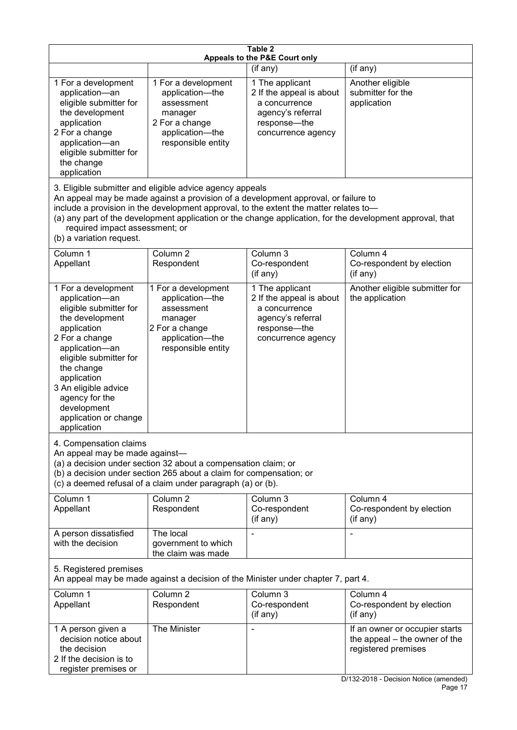| Table 2<br>Appeals to the P&E Court only                                                                                                                                                                                                                                                      |                                                                                                                                                                                                                                         |                                                                                                                         |                                                                                                                                  |  |
|-----------------------------------------------------------------------------------------------------------------------------------------------------------------------------------------------------------------------------------------------------------------------------------------------|-----------------------------------------------------------------------------------------------------------------------------------------------------------------------------------------------------------------------------------------|-------------------------------------------------------------------------------------------------------------------------|----------------------------------------------------------------------------------------------------------------------------------|--|
|                                                                                                                                                                                                                                                                                               |                                                                                                                                                                                                                                         | (if any)                                                                                                                | (if any)                                                                                                                         |  |
| 1 For a development<br>application-an<br>eligible submitter for<br>the development<br>application<br>2 For a change<br>application-an<br>eligible submitter for<br>the change<br>application                                                                                                  | 1 For a development<br>application-the<br>assessment<br>manager<br>2 For a change<br>application-the<br>responsible entity                                                                                                              | 1 The applicant<br>2 If the appeal is about<br>a concurrence<br>agency's referral<br>response-the<br>concurrence agency | Another eligible<br>submitter for the<br>application                                                                             |  |
| required impact assessment; or<br>(b) a variation request.                                                                                                                                                                                                                                    | 3. Eligible submitter and eligible advice agency appeals<br>An appeal may be made against a provision of a development approval, or failure to<br>include a provision in the development approval, to the extent the matter relates to- |                                                                                                                         | (a) any part of the development application or the change application, for the development approval, that                        |  |
| Column 1<br>Appellant                                                                                                                                                                                                                                                                         | Column <sub>2</sub><br>Respondent                                                                                                                                                                                                       | Column 3<br>Co-respondent<br>(if any)                                                                                   | Column 4<br>Co-respondent by election<br>(if any)                                                                                |  |
| 1 For a development<br>application-an<br>eligible submitter for<br>the development<br>application<br>2 For a change<br>application-an<br>eligible submitter for<br>the change<br>application<br>3 An eligible advice<br>agency for the<br>development<br>application or change<br>application | 1 For a development<br>application-the<br>assessment<br>manager<br>2 For a change<br>application-the<br>responsible entity                                                                                                              | 1 The applicant<br>2 If the appeal is about<br>a concurrence<br>agency's referral<br>response-the<br>concurrence agency | Another eligible submitter for<br>the application                                                                                |  |
| 4. Compensation claims<br>An appeal may be made against-                                                                                                                                                                                                                                      | (a) a decision under section 32 about a compensation claim; or<br>(b) a decision under section 265 about a claim for compensation; or<br>(c) a deemed refusal of a claim under paragraph (a) or (b).                                    |                                                                                                                         |                                                                                                                                  |  |
| Column 1<br>Appellant                                                                                                                                                                                                                                                                         | Column <sub>2</sub><br>Respondent                                                                                                                                                                                                       | Column <sub>3</sub><br>Co-respondent<br>(if any)                                                                        | Column 4<br>Co-respondent by election<br>(if any)                                                                                |  |
| A person dissatisfied<br>with the decision                                                                                                                                                                                                                                                    | The local<br>government to which<br>the claim was made                                                                                                                                                                                  |                                                                                                                         |                                                                                                                                  |  |
| 5. Registered premises<br>An appeal may be made against a decision of the Minister under chapter 7, part 4.                                                                                                                                                                                   |                                                                                                                                                                                                                                         |                                                                                                                         |                                                                                                                                  |  |
| Column 1<br>Appellant                                                                                                                                                                                                                                                                         | Column <sub>2</sub><br>Respondent                                                                                                                                                                                                       | Column $3$<br>Co-respondent<br>(if any)                                                                                 | Column 4<br>Co-respondent by election<br>(if any)                                                                                |  |
| 1 A person given a<br>decision notice about<br>the decision<br>2 If the decision is to<br>register premises or                                                                                                                                                                                | The Minister                                                                                                                                                                                                                            |                                                                                                                         | If an owner or occupier starts<br>the appeal – the owner of the<br>registered premises<br>D/132-2018 - Decision Notice (amended) |  |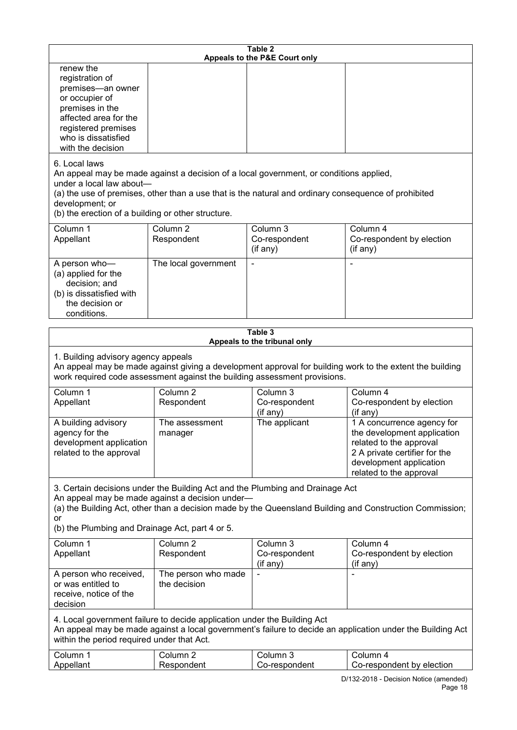| Table 2<br>Appeals to the P&E Court only                                                                                                                                                                                                                                                                             |                                     |                                       |                                                                                                                                                                             |  |
|----------------------------------------------------------------------------------------------------------------------------------------------------------------------------------------------------------------------------------------------------------------------------------------------------------------------|-------------------------------------|---------------------------------------|-----------------------------------------------------------------------------------------------------------------------------------------------------------------------------|--|
| renew the<br>registration of<br>premises-an owner<br>or occupier of<br>premises in the<br>affected area for the<br>registered premises<br>who is dissatisfied<br>with the decision                                                                                                                                   |                                     |                                       |                                                                                                                                                                             |  |
| 6. Local laws<br>An appeal may be made against a decision of a local government, or conditions applied,<br>under a local law about-<br>(a) the use of premises, other than a use that is the natural and ordinary consequence of prohibited<br>development; or<br>(b) the erection of a building or other structure. |                                     |                                       |                                                                                                                                                                             |  |
| Column 1<br>Appellant                                                                                                                                                                                                                                                                                                | Column <sub>2</sub><br>Respondent   | Column 3<br>Co-respondent<br>(if any) | Column 4<br>Co-respondent by election<br>(if any)                                                                                                                           |  |
| A person who-<br>(a) applied for the<br>decision; and<br>(b) is dissatisfied with<br>the decision or<br>conditions.                                                                                                                                                                                                  | The local government                |                                       |                                                                                                                                                                             |  |
|                                                                                                                                                                                                                                                                                                                      |                                     | Table 3                               |                                                                                                                                                                             |  |
| Appeals to the tribunal only<br>1. Building advisory agency appeals<br>An appeal may be made against giving a development approval for building work to the extent the building<br>work required code assessment against the building assessment provisions.                                                         |                                     |                                       |                                                                                                                                                                             |  |
| Column 1<br>Appellant                                                                                                                                                                                                                                                                                                | Column <sub>2</sub><br>Respondent   | Column 3<br>Co-respondent<br>(if any) | Column 4<br>Co-respondent by election<br>(if any)                                                                                                                           |  |
| A building advisory<br>agency for the<br>development application<br>related to the approval                                                                                                                                                                                                                          | The assessment<br>manager           | The applicant                         | 1 A concurrence agency for<br>the development application<br>related to the approval<br>2 A private certifier for the<br>development application<br>related to the approval |  |
| 3. Certain decisions under the Building Act and the Plumbing and Drainage Act<br>An appeal may be made against a decision under-<br>(a) the Building Act, other than a decision made by the Queensland Building and Construction Commission;<br>or<br>(b) the Plumbing and Drainage Act, part 4 or 5.                |                                     |                                       |                                                                                                                                                                             |  |
| Column 1<br>Appellant                                                                                                                                                                                                                                                                                                | Column <sub>2</sub><br>Respondent   | Column 3<br>Co-respondent<br>(if any) | Column 4<br>Co-respondent by election<br>(if any)                                                                                                                           |  |
| A person who received,<br>or was entitled to<br>receive, notice of the<br>decision                                                                                                                                                                                                                                   | The person who made<br>the decision |                                       |                                                                                                                                                                             |  |
| 4. Local government failure to decide application under the Building Act<br>within the period required under that Act.                                                                                                                                                                                               |                                     |                                       | An appeal may be made against a local government's failure to decide an application under the Building Act                                                                  |  |
| Column 1<br>Appellant                                                                                                                                                                                                                                                                                                | Column <sub>2</sub><br>Respondent   | Column 3<br>Co-respondent             | Column 4<br>Co-respondent by election<br>D/132-2018 - Decision Notice (amended)                                                                                             |  |